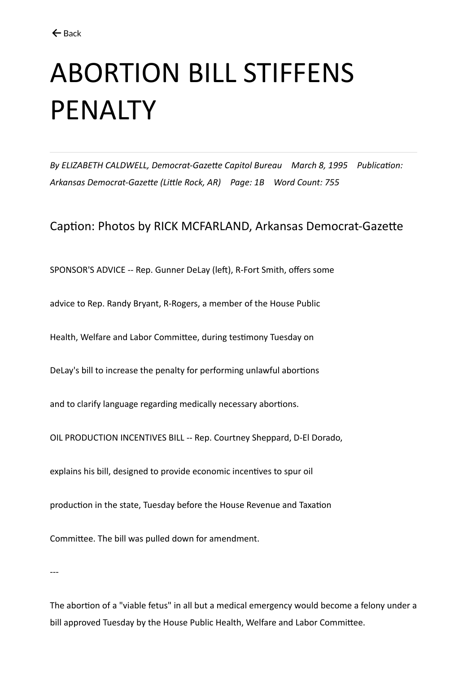## ABORTION BILL STIFFENS PENALTY

*By ELIZABETH CALDWELL, Democrat-Gazette Capitol Bureau March 8, 1995 Publication: Arkansas Democrat-Gazette (Little Rock, AR) Page: 1B Word Count: 755*

Caption: Photos by RICK MCFARLAND, Arkansas Democrat-Gazette

SPONSOR'S ADVICE -- Rep. Gunner DeLay (left), R-Fort Smith, offers some

advice to Rep. Randy Bryant, R-Rogers, a member of the House Public

Health, Welfare and Labor Committee, during testimony Tuesday on

DeLay's bill to increase the penalty for performing unlawful abortions

and to clarify language regarding medically necessary abortions.

OIL PRODUCTION INCENTIVES BILL -- Rep. Courtney Sheppard, D-El Dorado,

explains his bill, designed to provide economic incentives to spur oil

production in the state, Tuesday before the House Revenue and Taxation

Committee. The bill was pulled down for amendment.

---

The abortion of a "viable fetus" in all but a medical emergency would become a felony under a bill approved Tuesday by the House Public Health, Welfare and Labor Committee.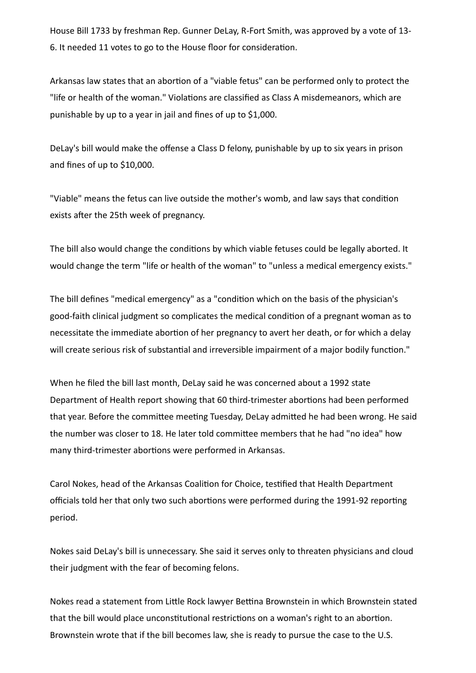House Bill 1733 by freshman Rep. Gunner DeLay, R-Fort Smith, was approved by a vote of 13- 6. It needed 11 votes to go to the House floor for consideration.

Arkansas law states that an abortion of a "viable fetus" can be performed only to protect the "life or health of the woman." Violations are classified as Class A misdemeanors, which are punishable by up to a year in jail and fines of up to \$1,000.

DeLay's bill would make the offense a Class D felony, punishable by up to six years in prison and fines of up to \$10,000.

"Viable" means the fetus can live outside the mother's womb, and law says that condition exists after the 25th week of pregnancy.

The bill also would change the conditions by which viable fetuses could be legally aborted. It would change the term "life or health of the woman" to "unless a medical emergency exists."

The bill defines "medical emergency" as a "condition which on the basis of the physician's good-faith clinical judgment so complicates the medical condition of a pregnant woman as to necessitate the immediate abortion of her pregnancy to avert her death, or for which a delay will create serious risk of substantial and irreversible impairment of a major bodily function."

When he filed the bill last month, DeLay said he was concerned about a 1992 state Department of Health report showing that 60 third-trimester abortions had been performed that year. Before the committee meeting Tuesday, DeLay admitted he had been wrong. He said the number was closer to 18. He later told committee members that he had "no idea" how many third-trimester abortions were performed in Arkansas.

Carol Nokes, head of the Arkansas Coalition for Choice, testified that Health Department officials told her that only two such abortions were performed during the 1991-92 reporting period.

Nokes said DeLay's bill is unnecessary. She said it serves only to threaten physicians and cloud their judgment with the fear of becoming felons.

Nokes read a statement from Little Rock lawyer Bettina Brownstein in which Brownstein stated that the bill would place unconstitutional restrictions on a woman's right to an abortion. Brownstein wrote that if the bill becomes law, she is ready to pursue the case to the U.S.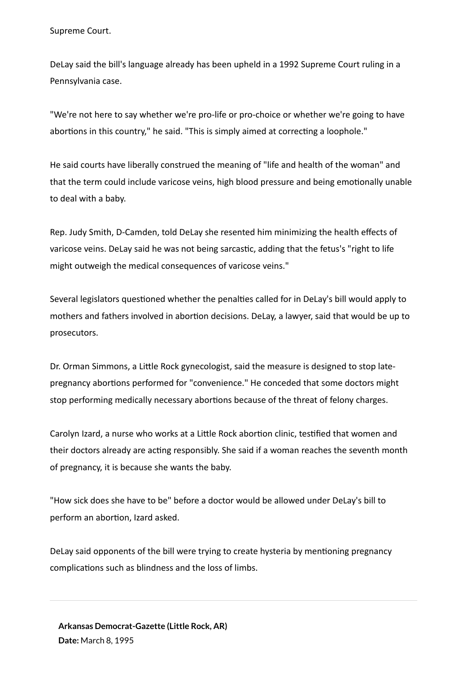Supreme Court.

DeLay said the bill's language already has been upheld in a 1992 Supreme Court ruling in a Pennsylvania case.

"We're not here to say whether we're pro-life or pro-choice or whether we're going to have abortions in this country," he said. "This is simply aimed at correcting a loophole."

He said courts have liberally construed the meaning of "life and health of the woman" and that the term could include varicose veins, high blood pressure and being emotionally unable to deal with a baby.

Rep. Judy Smith, D-Camden, told DeLay she resented him minimizing the health effects of varicose veins. DeLay said he was not being sarcastic, adding that the fetus's "right to life might outweigh the medical consequences of varicose veins."

Several legislators questioned whether the penalties called for in DeLay's bill would apply to mothers and fathers involved in abortion decisions. DeLay, a lawyer, said that would be up to prosecutors.

Dr. Orman Simmons, a Little Rock gynecologist, said the measure is designed to stop latepregnancy abortions performed for "convenience." He conceded that some doctors might stop performing medically necessary abortions because of the threat of felony charges.

Carolyn Izard, a nurse who works at a Little Rock abortion clinic, testified that women and their doctors already are acting responsibly. She said if a woman reaches the seventh month of pregnancy, it is because she wants the baby.

"How sick does she have to be" before a doctor would be allowed under DeLay's bill to perform an abortion, Izard asked.

DeLay said opponents of the bill were trying to create hysteria by mentioning pregnancy complications such as blindness and the loss of limbs.